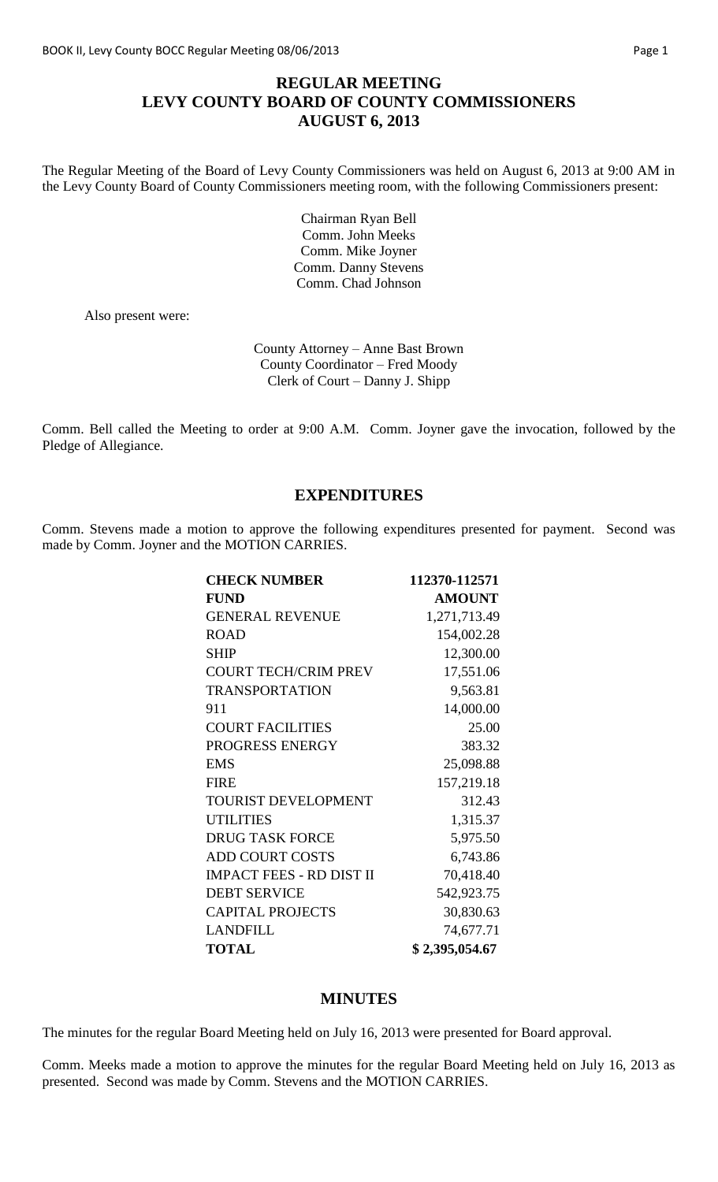# **REGULAR MEETING LEVY COUNTY BOARD OF COUNTY COMMISSIONERS AUGUST 6, 2013**

The Regular Meeting of the Board of Levy County Commissioners was held on August 6, 2013 at 9:00 AM in the Levy County Board of County Commissioners meeting room, with the following Commissioners present:

> Chairman Ryan Bell Comm. John Meeks Comm. Mike Joyner Comm. Danny Stevens Comm. Chad Johnson

Also present were:

County Attorney – Anne Bast Brown County Coordinator – Fred Moody Clerk of Court – Danny J. Shipp

Comm. Bell called the Meeting to order at 9:00 A.M. Comm. Joyner gave the invocation, followed by the Pledge of Allegiance.

# **EXPENDITURES**

Comm. Stevens made a motion to approve the following expenditures presented for payment. Second was made by Comm. Joyner and the MOTION CARRIES.

| <b>CHECK NUMBER</b>             | 112370-112571  |
|---------------------------------|----------------|
| <b>FUND</b>                     | <b>AMOUNT</b>  |
| <b>GENERAL REVENUE</b>          | 1,271,713.49   |
| <b>ROAD</b>                     | 154,002.28     |
| <b>SHIP</b>                     | 12,300.00      |
| <b>COURT TECH/CRIM PREV</b>     | 17,551.06      |
| <b>TRANSPORTATION</b>           | 9,563.81       |
| 911                             | 14,000.00      |
| <b>COURT FACILITIES</b>         | 25.00          |
| PROGRESS ENERGY                 | 383.32         |
| <b>EMS</b>                      | 25,098.88      |
| <b>FIRE</b>                     | 157,219.18     |
| TOURIST DEVELOPMENT             | 312.43         |
| <b>UTILITIES</b>                | 1,315.37       |
| <b>DRUG TASK FORCE</b>          | 5,975.50       |
| <b>ADD COURT COSTS</b>          | 6,743.86       |
| <b>IMPACT FEES - RD DIST II</b> | 70,418.40      |
| <b>DEBT SERVICE</b>             | 542,923.75     |
| <b>CAPITAL PROJECTS</b>         | 30,830.63      |
| <b>LANDFILL</b>                 | 74,677.71      |
| <b>TOTAL</b>                    | \$2,395,054.67 |

#### **MINUTES**

The minutes for the regular Board Meeting held on July 16, 2013 were presented for Board approval.

Comm. Meeks made a motion to approve the minutes for the regular Board Meeting held on July 16, 2013 as presented. Second was made by Comm. Stevens and the MOTION CARRIES.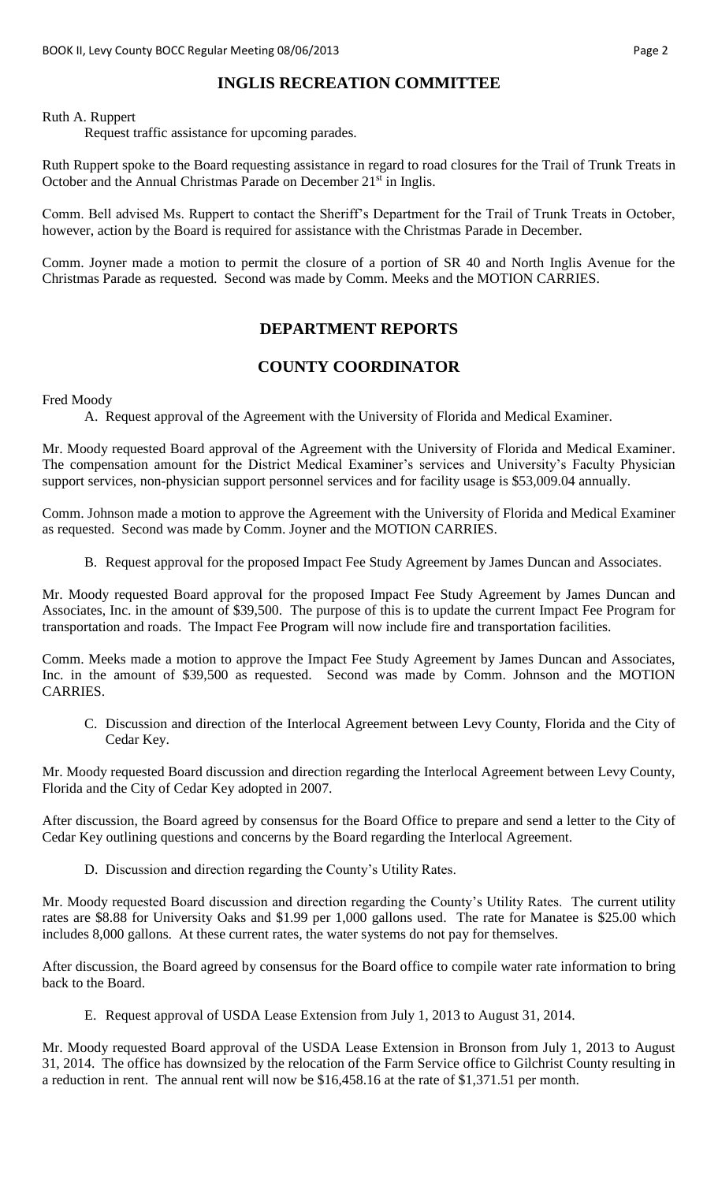# **INGLIS RECREATION COMMITTEE**

Ruth A. Ruppert

Request traffic assistance for upcoming parades.

Ruth Ruppert spoke to the Board requesting assistance in regard to road closures for the Trail of Trunk Treats in October and the Annual Christmas Parade on December 21<sup>st</sup> in Inglis.

Comm. Bell advised Ms. Ruppert to contact the Sheriff's Department for the Trail of Trunk Treats in October, however, action by the Board is required for assistance with the Christmas Parade in December.

Comm. Joyner made a motion to permit the closure of a portion of SR 40 and North Inglis Avenue for the Christmas Parade as requested. Second was made by Comm. Meeks and the MOTION CARRIES.

# **DEPARTMENT REPORTS**

# **COUNTY COORDINATOR**

Fred Moody

A. Request approval of the Agreement with the University of Florida and Medical Examiner.

Mr. Moody requested Board approval of the Agreement with the University of Florida and Medical Examiner. The compensation amount for the District Medical Examiner's services and University's Faculty Physician support services, non-physician support personnel services and for facility usage is \$53,009.04 annually.

Comm. Johnson made a motion to approve the Agreement with the University of Florida and Medical Examiner as requested. Second was made by Comm. Joyner and the MOTION CARRIES.

B. Request approval for the proposed Impact Fee Study Agreement by James Duncan and Associates.

Mr. Moody requested Board approval for the proposed Impact Fee Study Agreement by James Duncan and Associates, Inc. in the amount of \$39,500. The purpose of this is to update the current Impact Fee Program for transportation and roads. The Impact Fee Program will now include fire and transportation facilities.

Comm. Meeks made a motion to approve the Impact Fee Study Agreement by James Duncan and Associates, Inc. in the amount of \$39,500 as requested. Second was made by Comm. Johnson and the MOTION CARRIES.

C. Discussion and direction of the Interlocal Agreement between Levy County, Florida and the City of Cedar Key.

Mr. Moody requested Board discussion and direction regarding the Interlocal Agreement between Levy County, Florida and the City of Cedar Key adopted in 2007.

After discussion, the Board agreed by consensus for the Board Office to prepare and send a letter to the City of Cedar Key outlining questions and concerns by the Board regarding the Interlocal Agreement.

D. Discussion and direction regarding the County's Utility Rates.

Mr. Moody requested Board discussion and direction regarding the County's Utility Rates. The current utility rates are \$8.88 for University Oaks and \$1.99 per 1,000 gallons used. The rate for Manatee is \$25.00 which includes 8,000 gallons. At these current rates, the water systems do not pay for themselves.

After discussion, the Board agreed by consensus for the Board office to compile water rate information to bring back to the Board.

E. Request approval of USDA Lease Extension from July 1, 2013 to August 31, 2014.

Mr. Moody requested Board approval of the USDA Lease Extension in Bronson from July 1, 2013 to August 31, 2014. The office has downsized by the relocation of the Farm Service office to Gilchrist County resulting in a reduction in rent. The annual rent will now be \$16,458.16 at the rate of \$1,371.51 per month.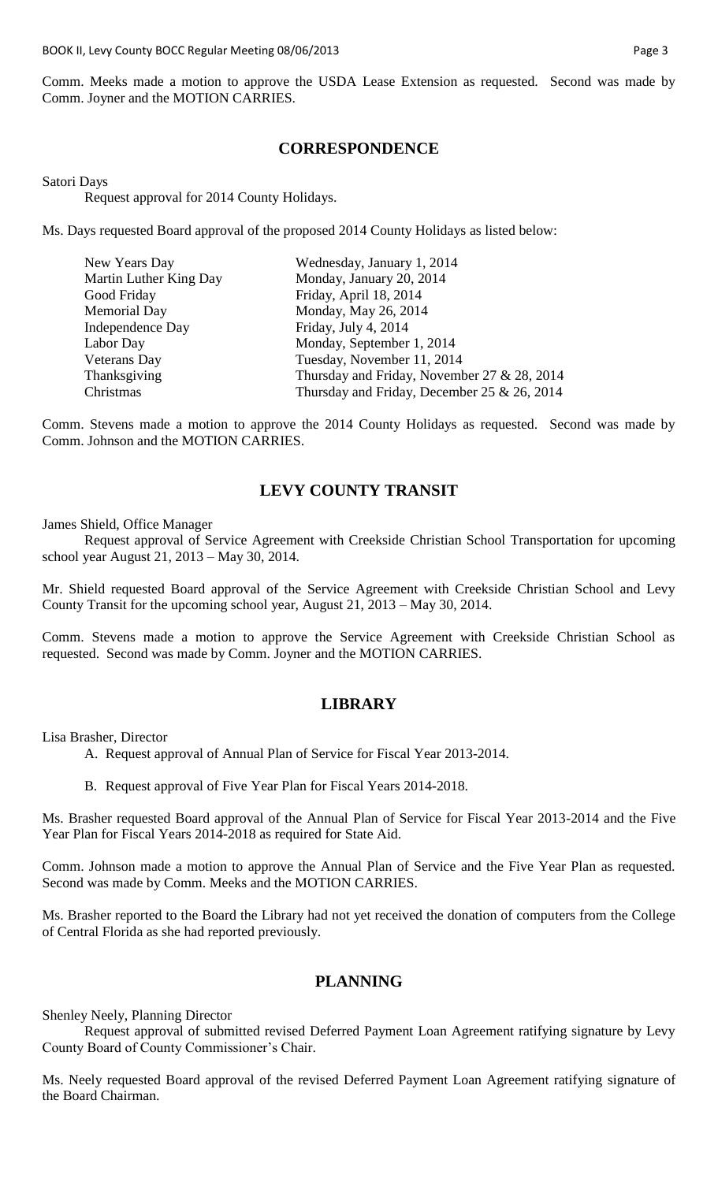Comm. Meeks made a motion to approve the USDA Lease Extension as requested. Second was made by Comm. Joyner and the MOTION CARRIES.

### **CORRESPONDENCE**

Satori Days

Request approval for 2014 County Holidays.

Ms. Days requested Board approval of the proposed 2014 County Holidays as listed below:

| New Years Day          | Wednesday, January 1, 2014                  |
|------------------------|---------------------------------------------|
| Martin Luther King Day | Monday, January 20, 2014                    |
| Good Friday            | Friday, April 18, 2014                      |
| <b>Memorial Day</b>    | Monday, May 26, 2014                        |
| Independence Day       | Friday, July 4, 2014                        |
| Labor Day              | Monday, September 1, 2014                   |
| <b>Veterans Day</b>    | Tuesday, November 11, 2014                  |
| Thanksgiving           | Thursday and Friday, November 27 & 28, 2014 |
| Christmas              | Thursday and Friday, December 25 & 26, 2014 |

Comm. Stevens made a motion to approve the 2014 County Holidays as requested. Second was made by Comm. Johnson and the MOTION CARRIES.

# **LEVY COUNTY TRANSIT**

James Shield, Office Manager

Request approval of Service Agreement with Creekside Christian School Transportation for upcoming school year August 21, 2013 – May 30, 2014.

Mr. Shield requested Board approval of the Service Agreement with Creekside Christian School and Levy County Transit for the upcoming school year, August 21, 2013 – May 30, 2014.

Comm. Stevens made a motion to approve the Service Agreement with Creekside Christian School as requested. Second was made by Comm. Joyner and the MOTION CARRIES.

# **LIBRARY**

Lisa Brasher, Director

- A. Request approval of Annual Plan of Service for Fiscal Year 2013-2014.
- B. Request approval of Five Year Plan for Fiscal Years 2014-2018.

Ms. Brasher requested Board approval of the Annual Plan of Service for Fiscal Year 2013-2014 and the Five Year Plan for Fiscal Years 2014-2018 as required for State Aid.

Comm. Johnson made a motion to approve the Annual Plan of Service and the Five Year Plan as requested. Second was made by Comm. Meeks and the MOTION CARRIES.

Ms. Brasher reported to the Board the Library had not yet received the donation of computers from the College of Central Florida as she had reported previously.

#### **PLANNING**

Shenley Neely, Planning Director

Request approval of submitted revised Deferred Payment Loan Agreement ratifying signature by Levy County Board of County Commissioner's Chair.

Ms. Neely requested Board approval of the revised Deferred Payment Loan Agreement ratifying signature of the Board Chairman.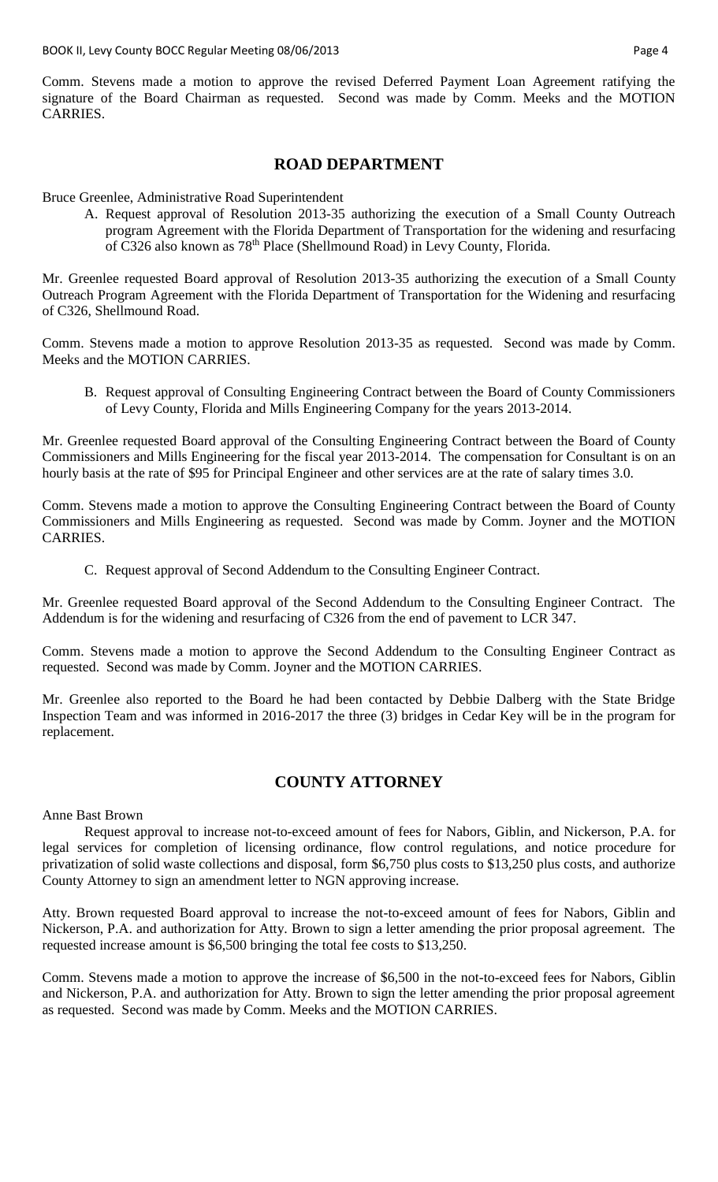Comm. Stevens made a motion to approve the revised Deferred Payment Loan Agreement ratifying the signature of the Board Chairman as requested. Second was made by Comm. Meeks and the MOTION CARRIES.

#### **ROAD DEPARTMENT**

Bruce Greenlee, Administrative Road Superintendent

A. Request approval of Resolution 2013-35 authorizing the execution of a Small County Outreach program Agreement with the Florida Department of Transportation for the widening and resurfacing of C326 also known as 78<sup>th</sup> Place (Shellmound Road) in Levy County, Florida.

Mr. Greenlee requested Board approval of Resolution 2013-35 authorizing the execution of a Small County Outreach Program Agreement with the Florida Department of Transportation for the Widening and resurfacing of C326, Shellmound Road.

Comm. Stevens made a motion to approve Resolution 2013-35 as requested. Second was made by Comm. Meeks and the MOTION CARRIES.

B. Request approval of Consulting Engineering Contract between the Board of County Commissioners of Levy County, Florida and Mills Engineering Company for the years 2013-2014.

Mr. Greenlee requested Board approval of the Consulting Engineering Contract between the Board of County Commissioners and Mills Engineering for the fiscal year 2013-2014. The compensation for Consultant is on an hourly basis at the rate of \$95 for Principal Engineer and other services are at the rate of salary times 3.0.

Comm. Stevens made a motion to approve the Consulting Engineering Contract between the Board of County Commissioners and Mills Engineering as requested. Second was made by Comm. Joyner and the MOTION CARRIES.

C. Request approval of Second Addendum to the Consulting Engineer Contract.

Mr. Greenlee requested Board approval of the Second Addendum to the Consulting Engineer Contract. The Addendum is for the widening and resurfacing of C326 from the end of pavement to LCR 347.

Comm. Stevens made a motion to approve the Second Addendum to the Consulting Engineer Contract as requested. Second was made by Comm. Joyner and the MOTION CARRIES.

Mr. Greenlee also reported to the Board he had been contacted by Debbie Dalberg with the State Bridge Inspection Team and was informed in 2016-2017 the three (3) bridges in Cedar Key will be in the program for replacement.

# **COUNTY ATTORNEY**

#### Anne Bast Brown

Request approval to increase not-to-exceed amount of fees for Nabors, Giblin, and Nickerson, P.A. for legal services for completion of licensing ordinance, flow control regulations, and notice procedure for privatization of solid waste collections and disposal, form \$6,750 plus costs to \$13,250 plus costs, and authorize County Attorney to sign an amendment letter to NGN approving increase.

Atty. Brown requested Board approval to increase the not-to-exceed amount of fees for Nabors, Giblin and Nickerson, P.A. and authorization for Atty. Brown to sign a letter amending the prior proposal agreement. The requested increase amount is \$6,500 bringing the total fee costs to \$13,250.

Comm. Stevens made a motion to approve the increase of \$6,500 in the not-to-exceed fees for Nabors, Giblin and Nickerson, P.A. and authorization for Atty. Brown to sign the letter amending the prior proposal agreement as requested. Second was made by Comm. Meeks and the MOTION CARRIES.